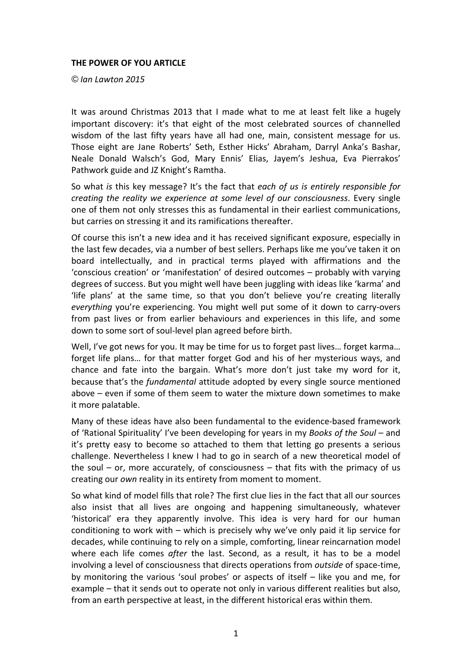## **THE POWER OF YOU ARTICLE**

*© Ian Lawton 2015*

It was around Christmas 2013 that I made what to me at least felt like a hugely important discovery: it's that eight of the most celebrated sources of channelled wisdom of the last fifty years have all had one, main, consistent message for us. Those eight are Jane Roberts' Seth, Esther Hicks' Abraham, Darryl Anka's Bashar, Neale Donald Walsch's God, Mary Ennis' Elias, Jayem's Jeshua, Eva Pierrakos' Pathwork guide and JZ Knight's Ramtha.

So what *is* this key message? It's the fact that *each of us is entirely responsible for creating the reality we experience at some level of our consciousness*. Every single one of them not only stresses this as fundamental in their earliest communications, but carries on stressing it and its ramifications thereafter.

Of course this isn't a new idea and it has received significant exposure, especially in the last few decades, via a number of best sellers. Perhaps like me you've taken it on board intellectually, and in practical terms played with affirmations and the 'conscious creation' or 'manifestation' of desired outcomes – probably with varying degrees of success. But you might well have been juggling with ideas like 'karma' and 'life plans' at the same time, so that you don't believe you're creating literally *everything* you're experiencing. You might well put some of it down to carry‐overs from past lives or from earlier behaviours and experiences in this life, and some down to some sort of soul‐level plan agreed before birth.

Well, I've got news for you. It may be time for us to forget past lives... forget karma... forget life plans… for that matter forget God and his of her mysterious ways, and chance and fate into the bargain. What's more don't just take my word for it, because that's the *fundamental* attitude adopted by every single source mentioned above – even if some of them seem to water the mixture down sometimes to make it more palatable.

Many of these ideas have also been fundamental to the evidence‐based framework of 'Rational Spirituality' I've been developing for years in my *Books of the Soul* – and it's pretty easy to become so attached to them that letting go presents a serious challenge. Nevertheless I knew I had to go in search of a new theoretical model of the soul – or, more accurately, of consciousness – that fits with the primacy of us creating our *own* reality in its entirety from moment to moment.

So what kind of model fills that role? The first clue lies in the fact that all our sources also insist that all lives are ongoing and happening simultaneously, whatever 'historical' era they apparently involve. This idea is very hard for our human conditioning to work with – which is precisely why we've only paid it lip service for decades, while continuing to rely on a simple, comforting, linear reincarnation model where each life comes *after* the last. Second, as a result, it has to be a model involving a level of consciousness that directs operations from *outside* of space‐time, by monitoring the various 'soul probes' or aspects of itself – like you and me, for example – that it sends out to operate not only in various different realities but also, from an earth perspective at least, in the different historical eras within them.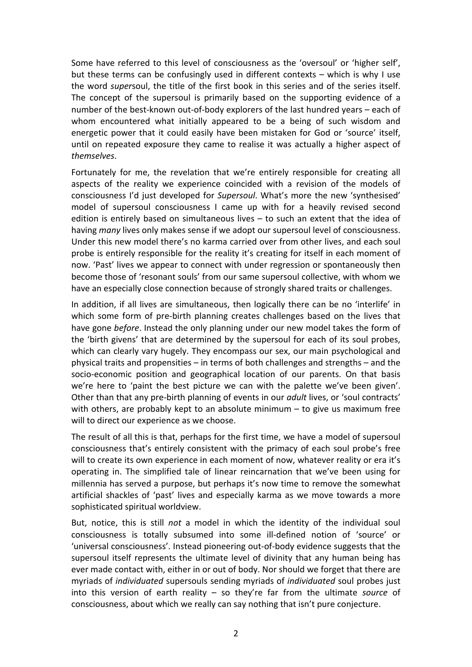Some have referred to this level of consciousness as the 'oversoul' or 'higher self', but these terms can be confusingly used in different contexts – which is why I use the word *super*soul, the title of the first book in this series and of the series itself. The concept of the supersoul is primarily based on the supporting evidence of a number of the best‐known out‐of‐body explorers of the last hundred years – each of whom encountered what initially appeared to be a being of such wisdom and energetic power that it could easily have been mistaken for God or 'source' itself, until on repeated exposure they came to realise it was actually a higher aspect of *themselves*.

Fortunately for me, the revelation that we're entirely responsible for creating all aspects of the reality we experience coincided with a revision of the models of consciousness I'd just developed for *Supersoul*. What's more the new 'synthesised' model of supersoul consciousness I came up with for a heavily revised second edition is entirely based on simultaneous lives – to such an extent that the idea of having *many* lives only makes sense if we adopt our supersoul level of consciousness. Under this new model there's no karma carried over from other lives, and each soul probe is entirely responsible for the reality it's creating for itself in each moment of now. 'Past' lives we appear to connect with under regression or spontaneously then become those of 'resonant souls' from our same supersoul collective, with whom we have an especially close connection because of strongly shared traits or challenges.

In addition, if all lives are simultaneous, then logically there can be no 'interlife' in which some form of pre-birth planning creates challenges based on the lives that have gone *before*. Instead the only planning under our new model takes the form of the 'birth givens' that are determined by the supersoul for each of its soul probes, which can clearly vary hugely. They encompass our sex, our main psychological and physical traits and propensities – in terms of both challenges and strengths – and the socio‐economic position and geographical location of our parents. On that basis we're here to 'paint the best picture we can with the palette we've been given'. Other than that any pre‐birth planning of events in our *adult* lives, or 'soul contracts' with others, are probably kept to an absolute minimum – to give us maximum free will to direct our experience as we choose.

The result of all this is that, perhaps for the first time, we have a model of supersoul consciousness that's entirely consistent with the primacy of each soul probe's free will to create its own experience in each moment of now, whatever reality or era it's operating in. The simplified tale of linear reincarnation that we've been using for millennia has served a purpose, but perhaps it's now time to remove the somewhat artificial shackles of 'past' lives and especially karma as we move towards a more sophisticated spiritual worldview.

But, notice, this is still *not* a model in which the identity of the individual soul consciousness is totally subsumed into some ill‐defined notion of 'source' or 'universal consciousness'. Instead pioneering out‐of‐body evidence suggests that the supersoul itself represents the ultimate level of divinity that any human being has ever made contact with, either in or out of body. Nor should we forget that there are myriads of *individuated* supersouls sending myriads of *individuated* soul probes just into this version of earth reality – so they're far from the ultimate *source* of consciousness, about which we really can say nothing that isn't pure conjecture.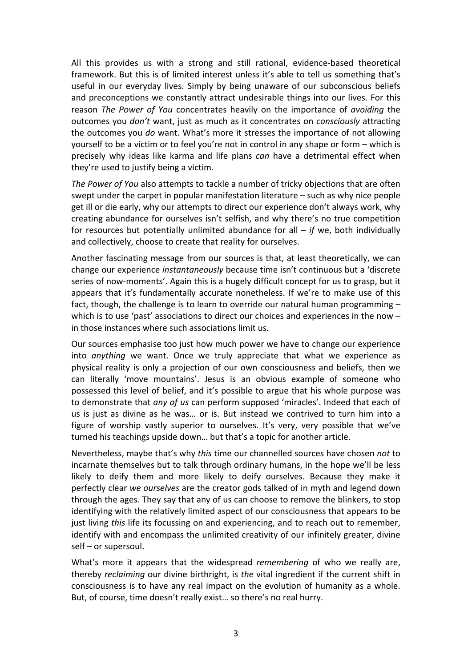All this provides us with a strong and still rational, evidence‐based theoretical framework. But this is of limited interest unless it's able to tell us something that's useful in our everyday lives. Simply by being unaware of our subconscious beliefs and preconceptions we constantly attract undesirable things into our lives. For this reason *The Power of You* concentrates heavily on the importance of *avoiding* the outcomes you *don't* want, just as much as it concentrates on *consciously* attracting the outcomes you *do* want. What's more it stresses the importance of not allowing yourself to be a victim or to feel you're not in control in any shape or form – which is precisely why ideas like karma and life plans *can* have a detrimental effect when they're used to justify being a victim.

*The Power of You* also attempts to tackle a number of tricky objections that are often swept under the carpet in popular manifestation literature – such as why nice people get ill or die early, why our attempts to direct our experience don't always work, why creating abundance for ourselves isn't selfish, and why there's no true competition for resources but potentially unlimited abundance for all – *if* we, both individually and collectively, choose to create that reality for ourselves.

Another fascinating message from our sources is that, at least theoretically, we can change our experience *instantaneously* because time isn't continuous but a 'discrete series of now-moments'. Again this is a hugely difficult concept for us to grasp, but it appears that it's fundamentally accurate nonetheless. If we're to make use of this fact, though, the challenge is to learn to override our natural human programming – which is to use 'past' associations to direct our choices and experiences in the now in those instances where such associations limit us.

Our sources emphasise too just how much power we have to change our experience into *anything* we want. Once we truly appreciate that what we experience as physical reality is only a projection of our own consciousness and beliefs, then we can literally 'move mountains'. Jesus is an obvious example of someone who possessed this level of belief, and it's possible to argue that his whole purpose was to demonstrate that *any of us* can perform supposed 'miracles'. Indeed that each of us is just as divine as he was… or is. But instead we contrived to turn him into a figure of worship vastly superior to ourselves. It's very, very possible that we've turned his teachings upside down… but that's a topic for another article.

Nevertheless, maybe that's why *this* time our channelled sources have chosen *not* to incarnate themselves but to talk through ordinary humans, in the hope we'll be less likely to deify them and more likely to deify ourselves. Because they make it perfectly clear *we ourselves* are the creator gods talked of in myth and legend down through the ages. They say that any of us can choose to remove the blinkers, to stop identifying with the relatively limited aspect of our consciousness that appears to be just living *this* life its focussing on and experiencing, and to reach out to remember, identify with and encompass the unlimited creativity of our infinitely greater, divine self – or supersoul.

What's more it appears that the widespread *remembering* of who we really are, thereby *reclaiming* our divine birthright, is *the* vital ingredient if the current shift in consciousness is to have any real impact on the evolution of humanity as a whole. But, of course, time doesn't really exist… so there's no real hurry.